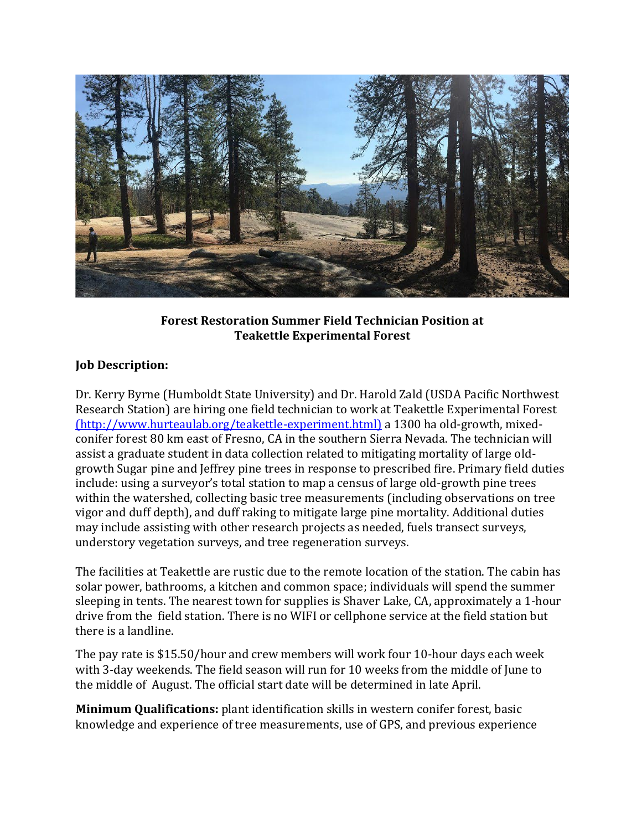

## **Forest Restoration Summer Field Technician Position at Teakettle Experimental Forest**

## **Job Description:**

Dr. Kerry Byrne (Humboldt State University) and Dr. Harold Zald (USDA Pacific Northwest Research Station) are hiring one field technician to work at Teakettle Experimental Forest [\(http://www.hurteaulab.org/teakettle-experiment.html\)](http://www.hurteaulab.org/teakettle-experiment.html) a 1300 ha old-growth, mixedconifer forest 80 km east of Fresno, CA in the southern Sierra Nevada. The technician will assist a graduate student in data collection related to mitigating mortality of large oldgrowth Sugar pine and Jeffrey pine trees in response to prescribed fire. Primary field duties include: using a surveyor's total station to map a census of large old-growth pine trees within the watershed, collecting basic tree measurements (including observations on tree vigor and duff depth), and duff raking to mitigate large pine mortality. Additional duties may include assisting with other research projects as needed, fuels transect surveys, understory vegetation surveys, and tree regeneration surveys.

The facilities at Teakettle are rustic due to the remote location of the station. The cabin has solar power, bathrooms, a kitchen and common space; individuals will spend the summer sleeping in tents. The nearest town for supplies is Shaver Lake, CA, approximately a 1-hour drive from the field station. There is no WIFI or cellphone service at the field station but there is a landline.

The pay rate is \$15.50/hour and crew members will work four 10-hour days each week with 3-day weekends. The field season will run for 10 weeks from the middle of June to the middle of August. The official start date will be determined in late April.

**Minimum Qualifications:** plant identification skills in western conifer forest, basic knowledge and experience of tree measurements, use of GPS, and previous experience